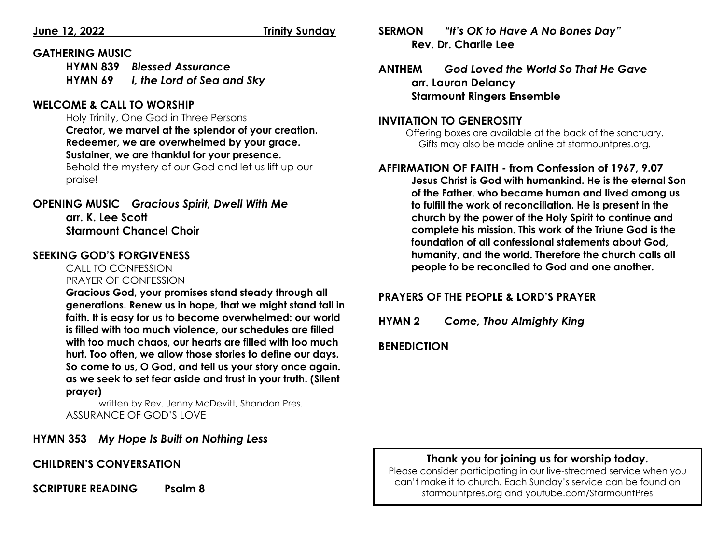#### **GATHERING MUSIC**

**HYMN 839** *Blessed Assurance* **HYMN 69** *I, the Lord of Sea and Sky*

#### **WELCOME & CALL TO WORSHIP**

Holy Trinity, One God in Three Persons **Creator, we marvel at the splendor of your creation. Redeemer, we are overwhelmed by your grace. Sustainer, we are thankful for your presence.** 

Behold the mystery of our God and let us lift up our praise!

**OPENING MUSIC** *Gracious Spirit, Dwell With Me* **arr. K. Lee Scott Starmount Chancel Choir**

### **SEEKING GOD'S FORGIVENESS**

     CALL TO CONFESSION        PRAYER OF CONFESSION

**Gracious God, your promises stand steady through all generations. Renew us in hope, that we might stand tall in faith. It is easy for us to become overwhelmed: our world is filled with too much violence, our schedules are filled with too much chaos, our hearts are filled with too much hurt. Too often, we allow those stories to define our days. So come to us, O God, and tell us your story once again. as we seek to set fear aside and trust in your truth. (Silent prayer)**

written by Rev. Jenny McDevitt, Shandon Pres. ASSURANCE OF GOD'S LOVE

## **HYMN 353** *My Hope Is Built on Nothing Less*

#### **CHILDREN'S CONVERSATION**

#### **SCRIPTURE READING Psalm 8**

**SERMON** *"It's OK to Have A No Bones Day"* **Rev. Dr. Charlie Lee**

**ANTHEM** *God Loved the World So That He Gave* **arr. Lauran Delancy Starmount Ringers Ensemble**

#### **INVITATION TO GENEROSITY**

Offering boxes are available at the back of the sanctuary. Gifts may also be made online at starmountpres.org.

# **AFFIRMATION OF FAITH - from Confession of 1967, 9.07**

**Jesus Christ is God with humankind. He is the eternal Son of the Father, who became human and lived among us to fulfill the work of reconciliation. He is present in the church by the power of the Holy Spirit to continue and complete his mission. This work of the Triune God is the foundation of all confessional statements about God, humanity, and the world. Therefore the church calls all people to be reconciled to God and one another.** 

## **PRAYERS OF THE PEOPLE & LORD'S PRAYER**

**HYMN 2** *Come, Thou Almighty King*

**BENEDICTION**

#### **Thank you for joining us for worship today.**

Please consider participating in our live-streamed service when you can't make it to church. Each Sunday's service can be found on starmountpres.org and youtube.com/StarmountPres